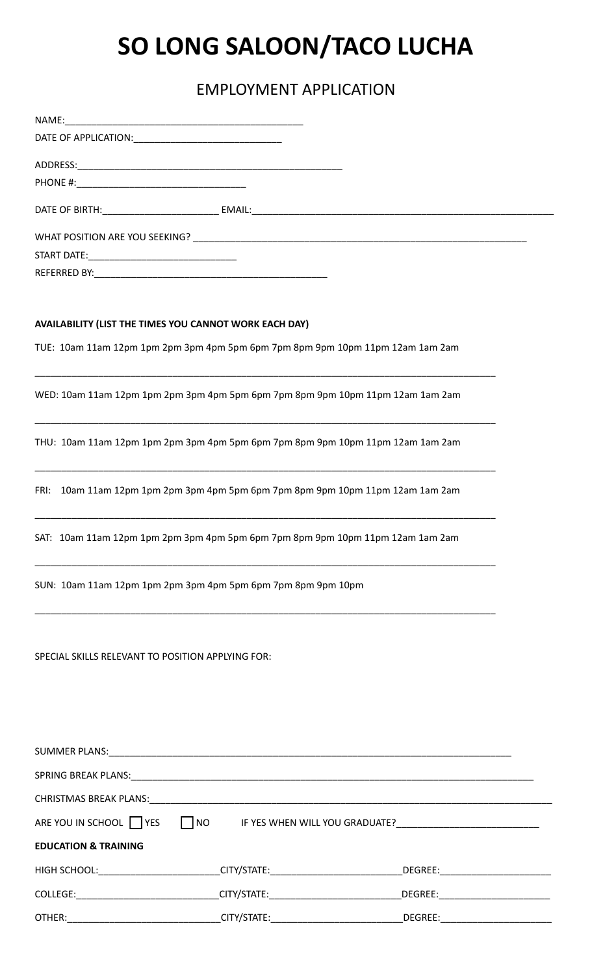# **SO LONG SALOON/TACO LUCHA**

## EMPLOYMENT APPLICATION

| AVAILABILITY (LIST THE TIMES YOU CANNOT WORK EACH DAY)       |           |                                                                                                                |  |
|--------------------------------------------------------------|-----------|----------------------------------------------------------------------------------------------------------------|--|
|                                                              |           | TUE: 10am 11am 12pm 1pm 2pm 3pm 4pm 5pm 6pm 7pm 8pm 9pm 10pm 11pm 12am 1am 2am                                 |  |
|                                                              |           | WED: 10am 11am 12pm 1pm 2pm 3pm 4pm 5pm 6pm 7pm 8pm 9pm 10pm 11pm 12am 1am 2am                                 |  |
|                                                              |           | THU: 10am 11am 12pm 1pm 2pm 3pm 4pm 5pm 6pm 7pm 8pm 9pm 10pm 11pm 12am 1am 2am                                 |  |
|                                                              |           | FRI: 10am 11am 12pm 1pm 2pm 3pm 4pm 5pm 6pm 7pm 8pm 9pm 10pm 11pm 12am 1am 2am                                 |  |
|                                                              |           | SAT: 10am 11am 12pm 1pm 2pm 3pm 4pm 5pm 6pm 7pm 8pm 9pm 10pm 11pm 12am 1am 2am                                 |  |
| SUN: 10am 11am 12pm 1pm 2pm 3pm 4pm 5pm 6pm 7pm 8pm 9pm 10pm |           |                                                                                                                |  |
| SPECIAL SKILLS RELEVANT TO POSITION APPLYING FOR:            |           |                                                                                                                |  |
|                                                              |           |                                                                                                                |  |
|                                                              |           |                                                                                                                |  |
|                                                              |           |                                                                                                                |  |
| ARE YOU IN SCHOOL TVES                                       | $\Box$ NO |                                                                                                                |  |
| <b>EDUCATION &amp; TRAINING</b>                              |           |                                                                                                                |  |
|                                                              |           | HIGH SCHOOL:__________________________CITY/STATE:_____________________________DEGREE:_________________________ |  |
|                                                              |           |                                                                                                                |  |

| <b>COLLEGE:</b> | CITY/STATE. | DEGREE: |
|-----------------|-------------|---------|
| OTHER:          | CITY/STATE: | DEGREE: |